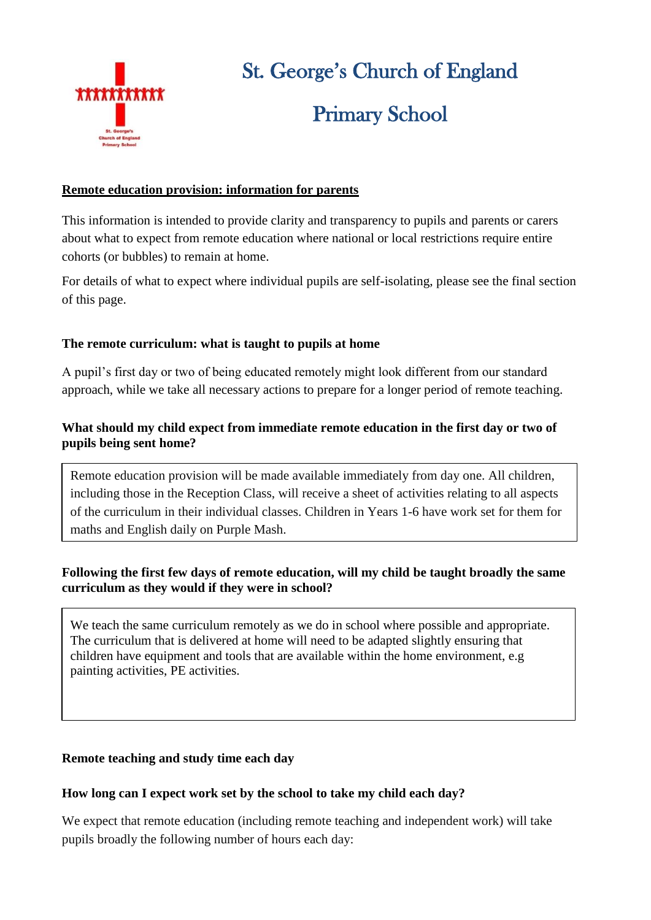

# St. George's Church of England Primary School

## **Remote education provision: information for parents**

This information is intended to provide clarity and transparency to pupils and parents or carers about what to expect from remote education where national or local restrictions require entire cohorts (or bubbles) to remain at home.

For details of what to expect where individual pupils are self-isolating, please see the final section of this page.

## **The remote curriculum: what is taught to pupils at home**

A pupil's first day or two of being educated remotely might look different from our standard approach, while we take all necessary actions to prepare for a longer period of remote teaching.

## **What should my child expect from immediate remote education in the first day or two of pupils being sent home?**

Remote education provision will be made available immediately from day one. All children, including those in the Reception Class, will receive a sheet of activities relating to all aspects of the curriculum in their individual classes. Children in Years 1-6 have work set for them for maths and English daily on Purple Mash.

## **Following the first few days of remote education, will my child be taught broadly the same curriculum as they would if they were in school?**

We teach the same curriculum remotely as we do in school where possible and appropriate. The curriculum that is delivered at home will need to be adapted slightly ensuring that children have equipment and tools that are available within the home environment, e.g painting activities, PE activities.

## **Remote teaching and study time each day**

#### **How long can I expect work set by the school to take my child each day?**

We expect that remote education (including remote teaching and independent work) will take pupils broadly the following number of hours each day: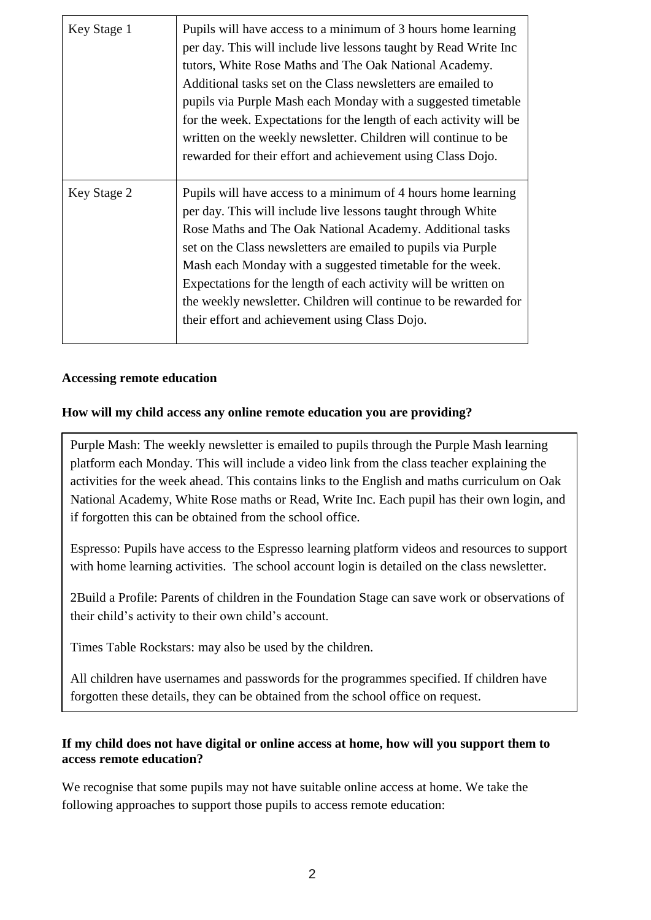| Key Stage 1 | Pupils will have access to a minimum of 3 hours home learning<br>per day. This will include live lessons taught by Read Write Inc<br>tutors, White Rose Maths and The Oak National Academy.<br>Additional tasks set on the Class new sletters are emailed to<br>pupils via Purple Mash each Monday with a suggested timetable<br>for the week. Expectations for the length of each activity will be<br>written on the weekly newsletter. Children will continue to be<br>rewarded for their effort and achievement using Class Dojo. |
|-------------|--------------------------------------------------------------------------------------------------------------------------------------------------------------------------------------------------------------------------------------------------------------------------------------------------------------------------------------------------------------------------------------------------------------------------------------------------------------------------------------------------------------------------------------|
| Key Stage 2 | Pupils will have access to a minimum of 4 hours home learning<br>per day. This will include live lessons taught through White<br>Rose Maths and The Oak National Academy. Additional tasks<br>set on the Class newsletters are emailed to pupils via Purple<br>Mash each Monday with a suggested timetable for the week.<br>Expectations for the length of each activity will be written on<br>the weekly newsletter. Children will continue to be rewarded for<br>their effort and achievement using Class Dojo.                    |

#### **Accessing remote education**

#### **How will my child access any online remote education you are providing?**

Purple Mash: The weekly newsletter is emailed to pupils through the Purple Mash learning platform each Monday. This will include a video link from the class teacher explaining the activities for the week ahead. This contains links to the English and maths curriculum on Oak National Academy, White Rose maths or Read, Write Inc. Each pupil has their own login, and if forgotten this can be obtained from the school office.

Espresso: Pupils have access to the Espresso learning platform videos and resources to support with home learning activities. The school account login is detailed on the class newsletter.

2Build a Profile: Parents of children in the Foundation Stage can save work or observations of their child's activity to their own child's account.

Times Table Rockstars: may also be used by the children.

All children have usernames and passwords for the programmes specified. If children have forgotten these details, they can be obtained from the school office on request.

## **If my child does not have digital or online access at home, how will you support them to access remote education?**

We recognise that some pupils may not have suitable online access at home. We take the following approaches to support those pupils to access remote education: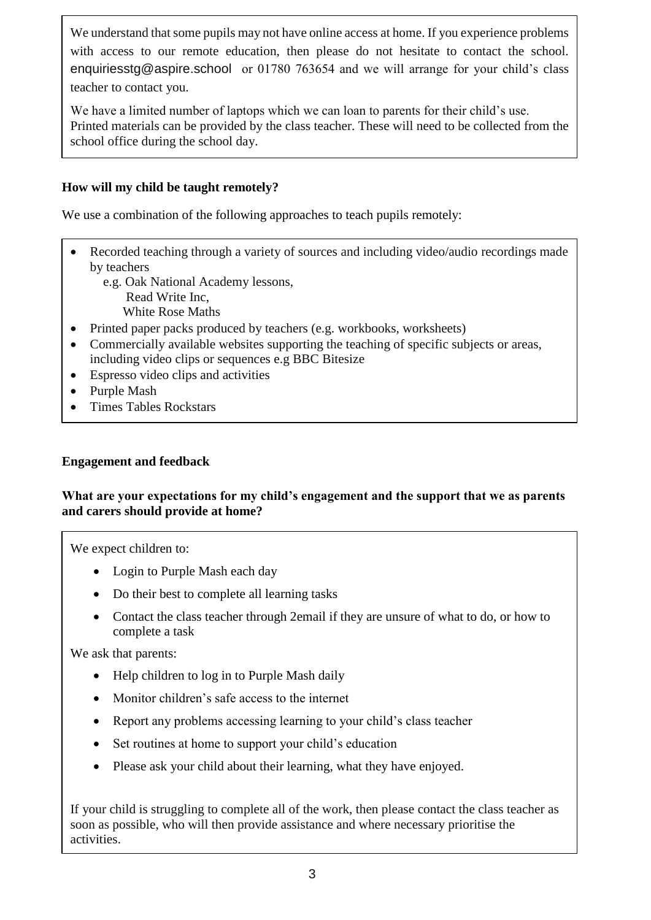We understand that some pupils may not have online access at home. If you experience problems with access to our remote education, then please do not hesitate to contact the school. [enquiriesstg@aspire.school](mailto:enquiriesstg@aspire.school) or 01780 763654 and we will arrange for your child's class teacher to contact you.

We have a limited number of laptops which we can loan to parents for their child's use. Printed materials can be provided by the class teacher. These will need to be collected from the school office during the school day.

# **How will my child be taught remotely?**

We use a combination of the following approaches to teach pupils remotely:

- Recorded teaching through a variety of sources and including video/audio recordings made by teachers
	- e.g. Oak National Academy lessons, Read Write Inc, White Rose Maths
- Printed paper packs produced by teachers (e.g. workbooks, worksheets)
- Commercially available websites supporting the teaching of specific subjects or areas, including video clips or sequences e.g BBC Bitesize
- Espresso video clips and activities

Long-term project work for Year 6.

- Purple Mash
- Times Tables Rockstars

# **Engagement and feedback**

## **What are your expectations for my child's engagement and the support that we as parents and carers should provide at home?**

We expect children to:

- Login to Purple Mash each day
- Do their best to complete all learning tasks
- Contact the class teacher through 2email if they are unsure of what to do, or how to complete a task

We ask that parents:

- Help children to log in to Purple Mash daily
- Monitor children's safe access to the internet
- Report any problems accessing learning to your child's class teacher
- Set routines at home to support your child's education
- Please ask your child about their learning, what they have enjoyed.

If your child is struggling to complete all of the work, then please contact the class teacher as soon as possible, who will then provide assistance and where necessary prioritise the activities.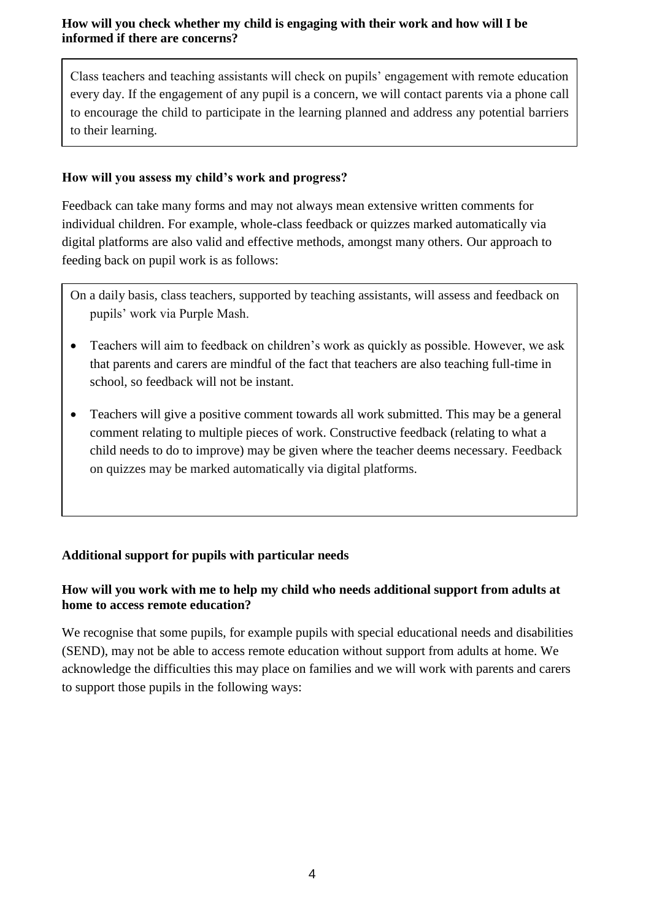## **How will you check whether my child is engaging with their work and how will I be informed if there are concerns?**

Class teachers and teaching assistants will check on pupils' engagement with remote education every day. If the engagement of any pupil is a concern, we will contact parents via a phone call to encourage the child to participate in the learning planned and address any potential barriers to their learning.

# **How will you assess my child's work and progress?**

Feedback can take many forms and may not always mean extensive written comments for individual children. For example, whole-class feedback or quizzes marked automatically via digital platforms are also valid and effective methods, amongst many others. Our approach to feeding back on pupil work is as follows:

On a daily basis, class teachers, supported by teaching assistants, will assess and feedback on pupils' work via Purple Mash.

- Teachers will aim to feedback on children's work as quickly as possible. However, we ask that parents and carers are mindful of the fact that teachers are also teaching full-time in school, so feedback will not be instant.
- Teachers will give a positive comment towards all work submitted. This may be a general comment relating to multiple pieces of work. Constructive feedback (relating to what a child needs to do to improve) may be given where the teacher deems necessary. Feedback on quizzes may be marked automatically via digital platforms.

# **Additional support for pupils with particular needs**

# **How will you work with me to help my child who needs additional support from adults at home to access remote education?**

We recognise that some pupils, for example pupils with special educational needs and disabilities (SEND), may not be able to access remote education without support from adults at home. We acknowledge the difficulties this may place on families and we will work with parents and carers to support those pupils in the following ways: